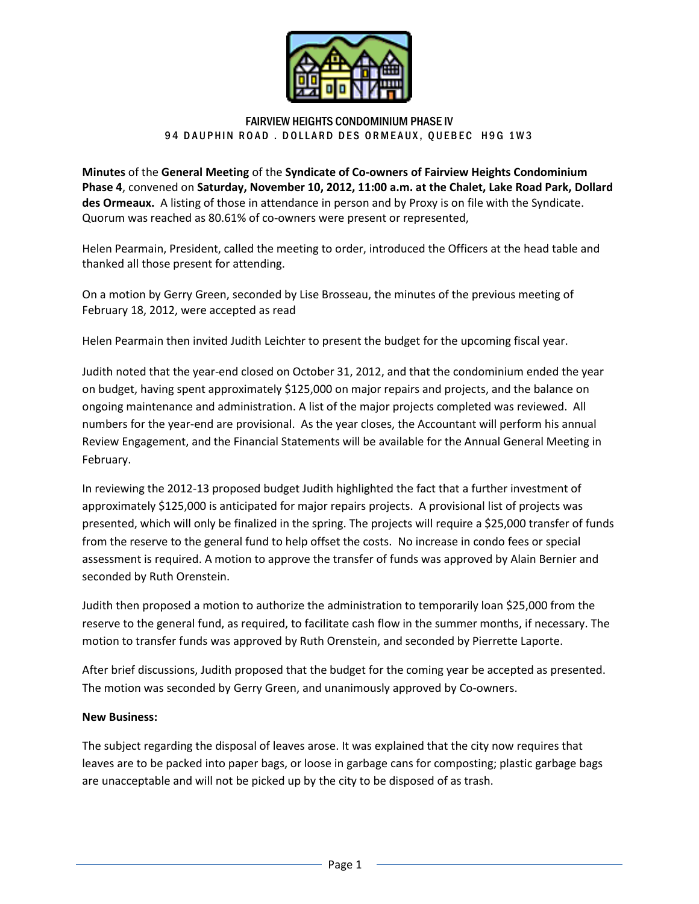

## FAIRVIEW HEIGHTS CONDOMINIUM PHASE IV 94 DAUPHIN ROAD. DOLLARD DES ORMEAUX, QUEBEC H9G 1W3

**Minutes** of the **General Meeting** of the **Syndicate of Co-owners of Fairview Heights Condominium Phase 4**, convened on **Saturday, November 10, 2012, 11:00 a.m. at the Chalet, Lake Road Park, Dollard des Ormeaux.** A listing of those in attendance in person and by Proxy is on file with the Syndicate. Quorum was reached as 80.61% of co-owners were present or represented,

Helen Pearmain, President, called the meeting to order, introduced the Officers at the head table and thanked all those present for attending.

On a motion by Gerry Green, seconded by Lise Brosseau, the minutes of the previous meeting of February 18, 2012, were accepted as read

Helen Pearmain then invited Judith Leichter to present the budget for the upcoming fiscal year.

Judith noted that the year-end closed on October 31, 2012, and that the condominium ended the year on budget, having spent approximately \$125,000 on major repairs and projects, and the balance on ongoing maintenance and administration. A list of the major projects completed was reviewed. All numbers for the year-end are provisional. As the year closes, the Accountant will perform his annual Review Engagement, and the Financial Statements will be available for the Annual General Meeting in February.

In reviewing the 2012-13 proposed budget Judith highlighted the fact that a further investment of approximately \$125,000 is anticipated for major repairs projects. A provisional list of projects was presented, which will only be finalized in the spring. The projects will require a \$25,000 transfer of funds from the reserve to the general fund to help offset the costs. No increase in condo fees or special assessment is required. A motion to approve the transfer of funds was approved by Alain Bernier and seconded by Ruth Orenstein.

Judith then proposed a motion to authorize the administration to temporarily loan \$25,000 from the reserve to the general fund, as required, to facilitate cash flow in the summer months, if necessary. The motion to transfer funds was approved by Ruth Orenstein, and seconded by Pierrette Laporte.

After brief discussions, Judith proposed that the budget for the coming year be accepted as presented. The motion was seconded by Gerry Green, and unanimously approved by Co-owners.

## **New Business:**

The subject regarding the disposal of leaves arose. It was explained that the city now requires that leaves are to be packed into paper bags, or loose in garbage cans for composting; plastic garbage bags are unacceptable and will not be picked up by the city to be disposed of as trash.